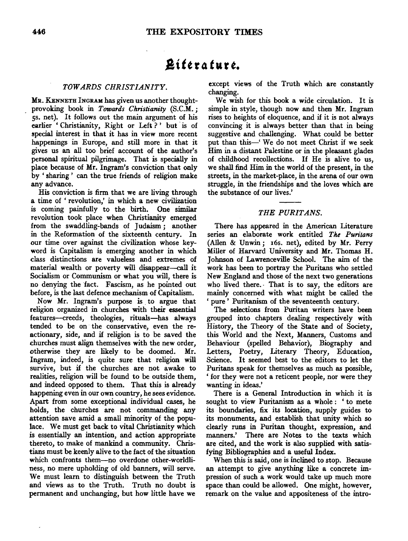# **.8 it** *t* **r 4 tu r** *t.*

## *TOWARDS CHRISTIANITY.*

MR. KENNETH INGRAM has given us another thoughtprovoking book in *Towards Christianity* (S.C.M.; ss. net). It follows out the main argument of his earlier 'Christianity, Right or Left?' but is of special interest in that it has in view more recent happenings in Europe, and still more in that it gives us an all too brief account of the author's personal spiritual pilgrimage. That is specially in place because of Mr. Ingram's conviction that only by ' sharing ' can the true friends of religion make any advance.

His conviction is firm that we are living through a time of ' revolution,' in which a new civilization is coming painfully to the birth. One similar revolution took place when Christianity emerged from the swaddling-bands of Judaism; another in the Reformation of the sixteenth century. In our time over against the civilization whose keyword is Capitalism is emerging another in which class distinctions are valueless and extremes of material wealth or poverty will disappear-call it Socialism or Communism or what you will, there is no denying the 'fact. Fascism, as he pointed out before, is the last defence mechanism of Capitalism.

Now Mr. Ingram's purpose is to argue that religion organized in churches with their essential features-creeds, theologies, rituals-has always tended to be on the conservative, even the reactionary, side, and if religion is to be saved the churches must align themselves with the new order, otherwise they are likely to be doomed. Mr. Ingram, indeed, is quite sure that religion will survive, but if the churches are not awake to realities, religion will be found to be outside them, and indeed opposed to them. That this is already happening even in our own country, he sees evidence. Apart from some exceptional individual cases, he holds, the churches are not commanding any attention save amid a small minority of the populace. We must get back to vital Christianity which is essentially an intention, and action appropriate thereto, to make of mankind a community. Christians must be keenly alive to the fact of the situation which confronts them-no overdone other-worldliness, no mere upholding of old banners, will serve. We must learn to distinguish between the Truth and views as to the Truth. Truth no doubt is permanent and unchanging, but how little have we

except views of the Truth which are constantly changing.

We wish for this book a wide circulation. It is simple in style, though now and then Mr. Ingram rises to heights of eloquence, and if it is not always convincing it is always better than that in being suggestive and challenging. What could be better put than this-' We do not meet Christ if we seek Him in a distant Palestine or in the pleasant glades of childhood recollections. If He is alive to us, we shall find Him in the world of the present, in the streets, in the market-place, in the arena of our own struggle, in the friendships and the loves which are the substance of our lives.'

## *THE PURITANS.*

There has appeared in the American Literature series an elaborate work entitled *The Puritans*  (Alien & Unwin; x6s. net), edited by Mr. Perry Miller of Harvard University and Mr. Thomas H. Johnson of Lawrenceville School. The aim of the work has been to portray the Puritans who settled New England and those of the next two generations who lived there. That is to say, the editors are mainly concerned with what might be called the 'pure' Puritanism of the seventeenth century.

The selections from Puritan writers have been grouped into chapters dealing respectively with History, the Theory of the State and of Society, this World and the Next, Manners, Customs and Behaviour (spelled Behavior), Biography and Letters, Poetry, Literary Theory, Education, Science. It seemed best to the editors to let the Puritans speak for themselves as much as possible, ' for they were not a reticent people, nor were they wanting in ideas.'

There is a General Introduction in which it is sought to view Puritanism as a whole : ' to mete its boundaries, fix its location, supply guides to its monuments, and establish that unity which so clearly runs in Puritan thought, expression, and manners.' There are Notes to the texts which are cited, and the work is also supplied with satisfying Bibliographies and a useful Index.

When this is said, one is inclined to stop. Because an attempt to give anything like a concrete impression of such a work would take up much more space than could be allowed. One might, however, remark on the value and appositeness of the intro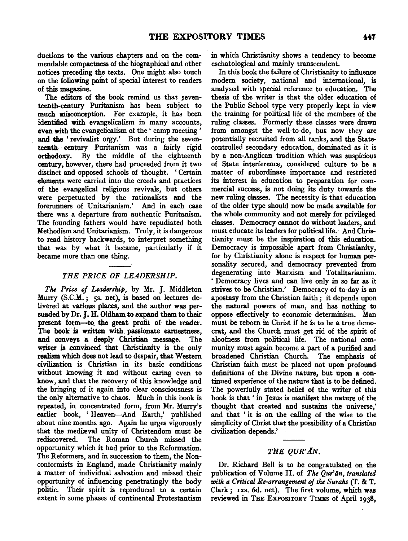ductions to the various chapters and on the commendable compactness of the biographical and other notices preceding the texts. One might also touch on the following pomt of special interest to readers of this magazine.

The editors of the book remind us that seventeenth-century Puritanism has been subject to much misconception. For example, it has been identified with evangelicalism in many accounts, even with the evangelicalism of the ' camp meeting ' and the.' revivalist orgy.' But during the seventeenth century Puritanism was a fairly rigid orthodoxy. By the middle of the eighteenth century, however, there had proceeded from it two distinct and opposed schools of thought. ' Certain elements were carried into the creeds and practices of the evangelical religious revivals, but others were perpetuated by the rationalists and the forerunners of Unitarianism.' And in each case there was a departure from authentic Puritanism. The founding fathers would have repudiated both Methodism and Unitarianism. Truly, it is dangerous to read history backwards, to interpret something that was by what it became, particularly if it became more than one thing.

#### *THE PRICE OF LEADERSHIP.*

*The Price of Leadership,* by Mr. J. Middleton Murry (S.C.M.; 5s. net), is based on lectures delivered at various places, and the author was persuaded by Dr. J. H. Oldham to expand them to their present form-to the great profit of the reader. The book is written with passionate earnestness, and conveys a deeply Christian message. The writer is convinced that Christianity is the only realism which does not lead to despair, that Western civilization is Christian in its basic conditions without knowing it and without caring even to know, and that the recovery of this knowledge and the bringing of it again into clear consciousness is the only alternative to chaos. Much in this book is repeated, in concentrated form, from Mr. Murry's earlier book, ' Heaven-And Earth,' published about nine months ago. Again he urges vigorously that the mediaval unity of Christendom must be rediscovered. The Roman Church missed the opportunity which it had prior to the Reformation. The Reformers, and in succession to them, the Nonconformists in England, made Christianity mainly a matter of individual salvation and missed their opportunity of influencing penetratingly the body politic. Their spirit is reproduced to a certain extent in some phases of continental Protestantism

in which Christianity shows a tendency to become eschatological and mainly transcendent.

In this book the failure of Christianity to influence modem society, national and international, is analysed with special reference to education. The thesis of the writer is that the older education of the Public School type very properly kept in view the training for political life of the members of the ruling classes. Formerly these classes were drawn from amongst the well-to-do, but now they are potentially recruited from all ranks, and the Statecontrolled secondary education, dominated as it is by a non-Anglican tradition which was suspicious of State interference, considered culture to be a matter of subordinate importance and restricted its interest in education to preparation for commercial success, is not doing its duty towards the new ruling classes. The necessity is that education of the older type should now be made available for the whole community and not merely for privileged classes. Democracy cannot do without leaders, and must educate its leaders for political life. And Christianity must be the inspiration of this education. Democracy is impossible apart from Christianity, for by Christianity alone is respect for human personality secured, and democracy prevented from degenerating into Marxism and Totalitarianism. ' Democracy lives and can live only in so far as it strives to be Christian.' Democracy of to-day is an apostasy from the Christian faith ; it depends upon the natural powers of man, and has nothing to oppose effectively to economic determinism. Man must be reborn in Christ if he is to be a true democrat, and the Church must get rid of the spirit of aloofness from political life. The national community must again become a part of a purified and broadened Christian Church. The emphasis of Christian faith must be placed not upon profound definitions of the Divine nature, but upon a continued experience of the nature that is to be defined. The powerfully stated belief of the writer of this book is that ' in Jesus is manifest the nature of the thought that created and sustains the universe,' and that ' it is on the calling of the wise to the simplicity of Christ that the possibility of a Christian civilization depends.'

### *THE QUR'AN.*

Dr. Richard Bell is to be congratulated on the publication of Volume II. of *The Qur'an, translated with a Critical Re-a"angement of the Suraks* (T. & T. Clark; 12s. 6d. net). The first volume, which was reviewed in THE EXPOSITORY TIMES of April 1938,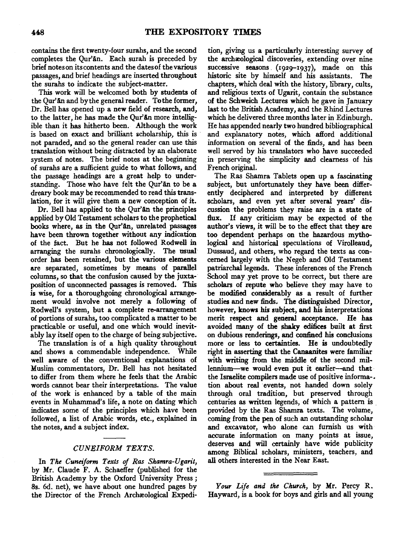contains the first twenty-four surahs, and the second completes the Qur'an. Each surah is preceded by brief notes on its contents and the dates of the various passages, and brief headings are inserted throughout the surahs to indicate the subject-matter.

This work will be welcomed both by students of the Qur'An and by the general reader. To the former, Dr. Bell has opened up a new field of research, and, to the latter, he has made the Qur'an more intelligible than it has hitherto been. Although the work is based on exact and brilliant scholarship, this is not paraded, and so the general reader can use this translation without being distracted by an elaborate system of notes. The brief notes at the beginning of surahs are a sufficient guide to what follows, and the passage headings are a great help to understanding. Those who have felt the Qur'an to be a dreary book may be recommended to read this translation, for it will give them a new conception of it.

Dr. Bell has applied to the Qur'an the principles applied by Old Testament scholars to the prophetical books where, as in the Qur'an, unrelated passages have been thrown together without any indication of the fact. But he has not followed Rodwell in arranging the surahs chronologically. The usual order has been retained, but the various elements are separated, sometimes by means of parallel columns, so that the confusion caused by the juxta-· position of unconnected passages is removed. This is wise, for a thoroughgoing chronological arrangement would involve not merely a following of Rodwell's system, but a complete re-arrangement of portions of surahs, too complicated a matter to be practicable or useful, and one which would inevitably lay itself open to the charge of being subjective.

The translation is of a high quality throughout and shows a commendable independence. While well aware of the conventional explanations of Muslim commentators, Dr. Bell has not hesitated to differ from them where he feels that the Arabic words cannot bear their interpretations. The value of the work is enhanced by a table of the main events in Muhammad's life, a note on dating which indicates some of the principles which have been followed, a list of Arabic words, etc., explained in the notes, and a subject index.

## *CUNEIFORM TEXTS.*

In *The Cuneiform Texts of Ras Shamra-Ugarit,*  by Mr. Claude F. A. Schaeffer (published for the British Academy by the Oxford University *Press;*  Ss. 6d. net), we have about one hundred pages by the Director of the French Archæological Expedi-

tion, giving us a particularly interesting survey of the archæological discoveries, extending over nine successive seasons. (1929-1937), made on this historic site by himself and his assistants. The chapters, which deal with the history, library, cults, and religious texts of Ugarit, contain the substance of the Schweich Lectures which he gave in January last to the British Academy, and the Rhind Lectures which he delivered three months later in Edinburgh. He has appended nearly two hundred bibliographical and explanatory notes, which afford additional information on several of the finds, and has been well served by his translators who have succeeded in preserving the simplicity and clearness of his French original.

The Ras Shamra Tablets open up a fascinating subject, but unfortunately they have been differently deciphered and interpreted by different scholars, and even yet after several years' discussion the problems they raise are in a state of flux. If any criticism may be expected of the author's views, it will be to the effect that they are too dependent perhaps on the hazardous mythological and historical speculations of Virolleaud, Dussaud, and others, who regard the texts as concerned largely with the Negeb and Old Testament patriarchal legends. These inferences of the French School may yet prove to be correct, but there are scholars of repute who believe they may have to be modified considerably as a result of further studies and new finds. The distinguished Director, however, knows his subject, and his interpretations merit respect and general acceptance. He has avoided many of the shaky edifices built at first on dubious renderings, and confined his conclusions more or less to certainties. He is undoubtedly right in asserting that the Canaanites were familiar with writing from the middle of the second millennium-we would even put it earlier-and that the Israelite compilers made use of positive informa-. tion about real events, not handed down solely through oral tradition, but preserved through centuries as written legends, of which a pattern is . provided by the Ras Shamra texts. The volume, coming from the pen of such an outstanding scholar and excavator, who alone can furnish us with accurate information on many points at issue, deserves and will certainly have wide publicity among Biblical scholars, ministers, teachers, and all others interested in the Near East.

*Your Life and the Church,* by Mr. Percy R. Hayward, is a book for boys and girls and all young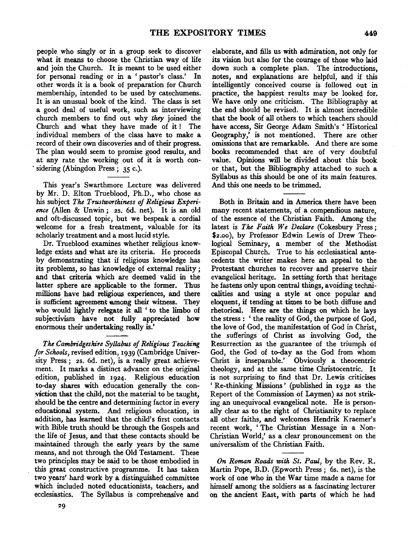people who singly or in a group seek to discover what it means to choose the Christian way of life and join the Church. It is meant to be used either for personal reading or in a 'pastor's class.' In other words it is a book of preparation for Church membership, intended to be used by catechumens. It is an unusual book of the kind. The class is set a good deal of useful work, such as interviewing church members to find out why *they* joined the Church and what they have made of it ! The individual members of the class have to make a record of their own discoveries and of their progress. The plan would seem to promise good results, and at any rate the working out of it is worth con sidering (Abingdon Press; 35 c.).

This year's Swarthmore Lecture was delivered by Mr. D. Elton Trueblood, Ph.D., who chose as his subject *The Trustworthiness of Religious Experience* (Alien & Unwin ; 2s. 6d. net). It is an old and oft-discussed topic, but we bespeak a cordial welcome for a fresh treatment, valuable for its scholarly treatment and a most lucid style.

Dr. Trueblood examines whether religious knowledge exists and what are its criteria. He proceeds by demonstrating that if religious knowledge has its problems, so has knowledge of external reality ; and that criteria which are deemed valid in the latter sphere are applicable to the former. Thus millions have had religious experiences, and there is sufficient agreement among their witness. They who would lightly relegate it all ' to the limbo of subjectivism have not fully appreciated how enormous their undertaking really is.'

**The Cambridgeshire Syllabus of Religious Teaching** *for Schools,* revised edition, 1939 (Cambridge University Press; 2s. 6d. net), is a really great achievement. It marks a distinct advance on the original edition, published in 1924. Religious education to-day shares with education generally the con- ;viction that the child, not the material to be taught, should be the centre and determining factor in every educational system. And religious education, in addition, has learned that the child's first contacts with Bible truth should be through the Gospels and the life of Jesus, and that these contacts should be maintained through the early years by the same means, and not through the Old Testament. These two principles may be said to be those embodied in this great constructive programme. It has taken two years' hard work by a distinguished committee which included noted educationists, teachers, and ecclesiastics. The Syllabus is comprehensive and

elaborate, and fills us with admiration, not only for its vision but also for the courage of those who laid down such a complete plan. The introductions, notes, and explanations are helpful, and if this intelligently conceived course is followed out in practice, the happiest results may be looked for. We have only one criticism. The Bibliography at the end should be revised. It is almost incredible that the book of all others to which teachers should have access, Sir George Adam Smith's 'Historical Geography,' is not mentioned. There are other omissions that are remarkable. And there are some books recommended that are of very doubtful value. Opinions will be divided about this book or that, but the Bibliography attached to such a Syllabus as this should be one of its main features. And this one needs to be trimmed.

Both in Britain and in America there have been many recent statements, of a compendious nature, of the essence of the Christian Faith. Among the latest is *The Faith We Declare* (Cokesbury Press; \$2.oo), by Professor Edwin Lewis of Drew Theological Seminary, a member of the Methodist Episcopal Church. True to his ecclesiastical antecedents the writer makes here an appeal to the Protestant churches to recover and preserve their evangelical heritage. In setting forth that heritage he fastens only upon central things, avoiding technicalities and using a style at once popular and eloquent, if tending at times to be both diffuse and rhetorical. Here are the things on which he lays the stress : ' the reality of God, the purpose of God, the love of God, the manifestation of God in Christ, the sufferings of Christ as involving God, the Resurrection as the guarantee of the triumph of God, the God of to-day as the God from whom Christ is inseparable.' Obviously a theocentric theology, and at the same time Christocentric. It is not surprising to find that Dr. Lewis criticises 'Re-thinking Missions' (published in 1932 as the Report of the Commission of Laymen) as not striking an unequivocal evangelical note. He is personally clear as to the right of Christianity to replace all other faiths, and welcomes Hendrik Kraemer's recent work, ' The Christian Message in a Non-Christian World,' as a clear pronouncement on the universalism of the Christian Faith.

*On Roman Roads with St. Paul,* by the Rev. R. Martin Pope, B.D. (Epworth Press; 6s. net), is the work of one who in the War time made a name for himself among the soldiers as a fascinating lecturer on the ancient East, with parts of which he had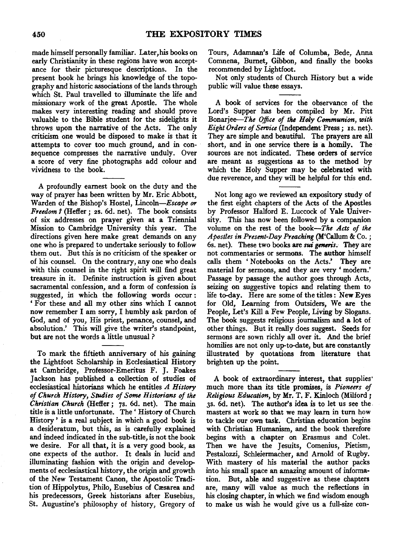made himself personally familiar. Later,his books on early Christianity in these regions have won acceptance for their picturesque descriptions. In the present book he brings his knowledge of the topography and historic associations of the lands through which St. Paul travelled to illuminate the life and missionary work of the great Apostle. The whole makes very interesting reading and should prove valuable to the Bible student for the sidelights it throws upon the narrative of the Acts. The only criticism one would be disposed to make is that it attempts to cover too much ground, and in consequence compresses the narrative unduly. Over a score of very fine photographs add colour and vividness to the book.

A profoundly earnest book on the duty and the way of prayer has been written by Mr. Eric Abbott, Warden of the Bishop's Hostel, *Lincoln-Escape or Freedom 1* (Heffer; 2s. 6d. net). The book consists of six addresses on prayer given at a Triennial Mission to Cambridge University this year. The directions given here make great demands on any one who is prepared to undertake seriously to follow them out. But this is no criticism of the speaker or of his counsel. On the contrary, any one who deals with this counsel in the right spirit will find great treasure in it. Definite instruction is given about sacramental confession, and a form of confession is suggested, in which the following words occur : ' For these and all my other sins which I cannot now remember I am sorry, I humbly ask pardon of God, and of you, His priest, penance, counsel, and absolution.' This will give the writer's standpoint, but are not the words a little unusual ?

To mark the fiftieth anniversary of his gaining the Lightfoot Scholarship in Ecclesiastical History at Cambridge, Professor-Emeritus F. J. Foakes Jackson has published a collection of studies of ecclesiastical historians which he entitles *A History of Church History, Studies of Some Historians of the Christian Church* (Heffer; 7s. 6d. net). The main title is a little unfortunate. The ' History of Church History ' is a real subject in which a good book is a desideratum, but this, as is carefully explained and indeed indicated in the sub-title, is not the book we desire. For all that, it is a very good book, as one expects of the author. It deals in lucid and illuminating fashion with the origin and developments of ecclesiastical history, the origin and growth of the New Testament Canon, the Apostolic Tradition of Hippolytus, Philo, Eusebius of Cæsarea and his predecessors, Greek historians after Eusebius, St. Augustine's philosophy of history, Gregory of

Tours, Adamnan's Life of Columba, Bede, Anna Comnena, Burnet, Gibbon, and finally the books recommended by Lightfoot.

Not only students of Church History but a wide public will value these essays.

A book of services for the observance of the Lord's Supper has been compiled by Mr. Pitt Bonarjee-The Office of the Holy Communion, with *Eight Orders of Service* (Independent Press; Is. net). They are simple and beautiful. The prayers are all short, and in one service there is a homily. The sources are not indicated. These orders of service are meant as suggestions as to the method by which the Holy Supper may be celebrated with due reverence, and they will be helpful for this end.

Not long ago we reviewed an expository study of the first eight chapters of the Acts of the Apostles by Professor Halford E. Luccock of Yale University. This has now been followed by a companion volume on the rest of the *book-The Acts of the Apostles in Present-Day Preaching* (M'Callum & Co. ; 6s. net). These two books are *sui generis.* They are not commentaries or sermons. The author himself calls them 'Notebooks on the Acts.' They are material for sermons, and they are very ' modern.' Passage by passage the author goes through Acts, seizing on suggestive topics and relating them to life to-day. Here are some of the titles: New Eyes for Old, Learning from Outsiders, We are the People, Let's Kill a Few People, Living by Slogans. The book suggests religious journalism and a lot of other things. But it really does suggest. Seeds for sermons are sown richly all over it. And the brief homilies are not only up-to-date, but are constantly illustrated by quotations from literature that brighten up the point.

A book of extraordinary interest, that supplies' much more than its title promises, is *Pioneers of Religious Education,* by Mr. T. F. Kinloch (Milford; 3s. 6d. net). The author's idea is to let us see the. masters at work so that we may learn in turn how to tackle our own task. Christian education begins with Christian Humanism, and the book therefore begins with a chapter on Erasmus and Colet. Then we have the Jesuits, Comenius, Pietism, Pestalozzi, Schleiermacher, and Arnold of Rugby. With mastery of his material the author packs into his small space an amazing amount of information. But, able and suggestive as these chapters are, many will value as much the reflections in his closing chapter, in which we find wisdom enough to make us wish he would give us a full-size con